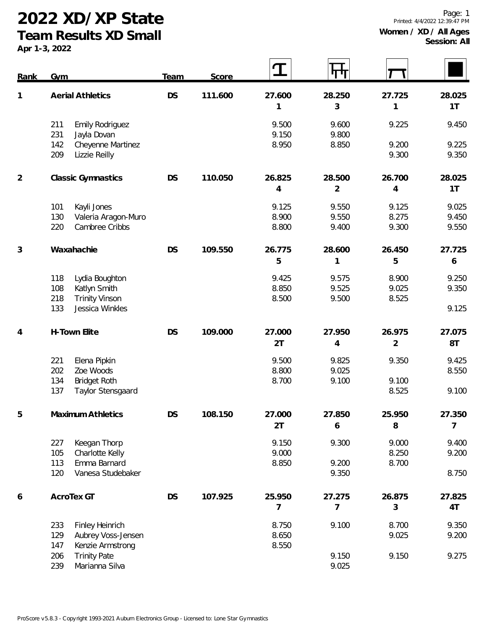**2022 XD/XP State**

**Team Results XD Small**

**Apr 1-3, 2022**

| <b>DS</b><br>111.600<br><b>Aerial Athletics</b><br>27.600<br>28.250<br>27.725<br>1                | 28.025 |
|---------------------------------------------------------------------------------------------------|--------|
| 3<br>1<br>1                                                                                       | 1T     |
| 9.500<br>9.600<br>9.225<br>211<br><b>Emily Rodriguez</b>                                          | 9.450  |
| 9.150<br>9.800<br>231<br>Jayla Dovan<br>8.950<br>142<br>Cheyenne Martinez<br>8.850<br>9.200       | 9.225  |
| 209<br>9.300<br>Lizzie Reilly                                                                     | 9.350  |
| 110.050<br>26.700<br>$\overline{2}$<br><b>DS</b><br>26.825<br>28.500<br><b>Classic Gymnastics</b> | 28.025 |
| $\overline{2}$<br>$\overline{4}$<br>$\overline{4}$                                                | 1T     |
| Kayli Jones<br>9.125<br>9.550<br>9.125<br>101                                                     | 9.025  |
| 8.900<br>9.550<br>8.275<br>130<br>Valeria Aragon-Muro                                             | 9.450  |
| Cambree Cribbs<br>8.800<br>9.400<br>9.300<br>220                                                  | 9.550  |
| Waxahachie<br>26.775<br>28.600<br>3<br><b>DS</b><br>109.550<br>26.450                             | 27.725 |
| 5<br>5<br>1                                                                                       | 6      |
| Lydia Boughton<br>9.425<br>9.575<br>8.900<br>118                                                  | 9.250  |
| 8.850<br>9.525<br>9.025<br>108<br>Katlyn Smith                                                    | 9.350  |
| 218<br><b>Trinity Vinson</b><br>8.500<br>9.500<br>8.525                                           |        |
| 133<br>Jessica Winkles                                                                            | 9.125  |
| <b>DS</b><br>109.000<br>27.000<br>26.975<br>H-Town Elite<br>27.950<br>4                           | 27.075 |
| $\sqrt{2}$<br>2T<br>4                                                                             | 8T     |
| 9.500<br>221<br>Elena Pipkin<br>9.825<br>9.350                                                    | 9.425  |
| 202<br>Zoe Woods<br>8.800<br>9.025                                                                | 8.550  |
| 134<br><b>Bridget Roth</b><br>8.700<br>9.100<br>9.100                                             |        |
| 137<br><b>Taylor Stensgaard</b><br>8.525                                                          | 9.100  |
| DS<br>25.950<br>108.150<br>27.000<br>27.850<br>Maximum Athletics<br>C                             | 27.350 |
| 2T<br>8<br>6                                                                                      | 7      |
| 9.150<br>Keegan Thorp<br>9.300<br>9.000<br>227                                                    | 9.400  |
| 9.000<br>8.250<br>105<br>Charlotte Kelly                                                          | 9.200  |
| Emma Barnard<br>8.850<br>8.700<br>113<br>9.200                                                    |        |
| Vanesa Studebaker<br>120<br>9.350                                                                 | 8.750  |
| AcroTex GT<br><b>DS</b><br>107.925<br>25.950<br>27.275<br>26.875<br>6                             | 27.825 |
| 7<br>7<br>3                                                                                       | 4T     |
| 233<br>Finley Heinrich<br>8.750<br>9.100<br>8.700                                                 | 9.350  |
| 8.650<br>9.025<br>129<br>Aubrey Voss-Jensen                                                       | 9.200  |
| 8.550<br>147<br>Kenzie Armstrong                                                                  |        |
| 206<br><b>Trinity Pate</b><br>9.150<br>9.150<br>239<br>9.025<br>Marianna Silva                    | 9.275  |